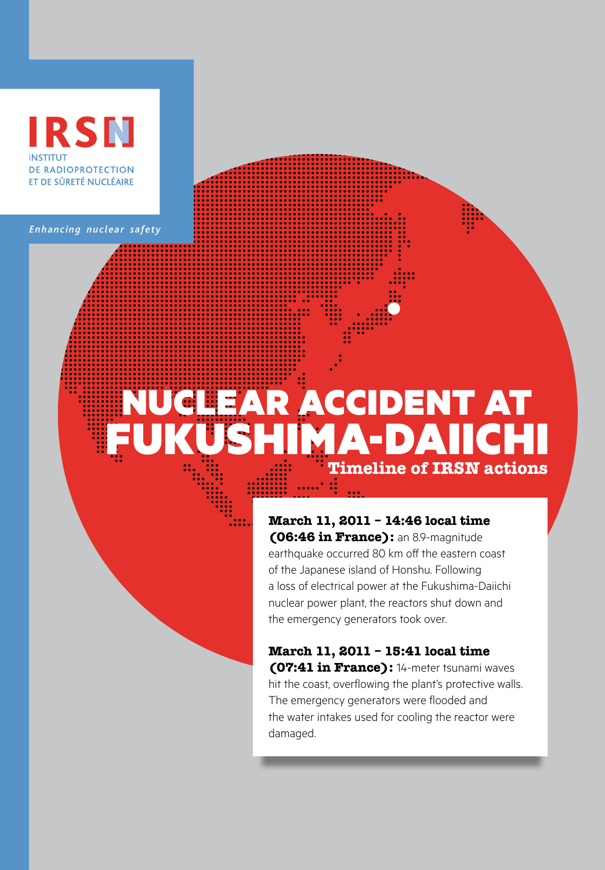## RSN **INSTITUT** DE RADIOPROTECTION ET DE SÛRETÉ NUCLÉAIRE

*Enhancing nuclear safety*

# Nuclear accident at MA-DAII **Timeline of IRSN actions**

**March 11, 2011 – 14:46 local time (06:46 in France):** an 8.9-magnitude earthquake occurred 80 km off the eastern coast of the Japanese island of Honshu. Following a loss of electrical power at the Fukushima-Daiichi nuclear power plant, the reactors shut down and the emergency generators took over.

**March 11, 2011 – 15:41 local time (07:41 in France):** 14-meter tsunami waves hit the coast, overflowing the plant's protective walls. The emergency generators were flooded and the water intakes used for cooling the reactor were damaged.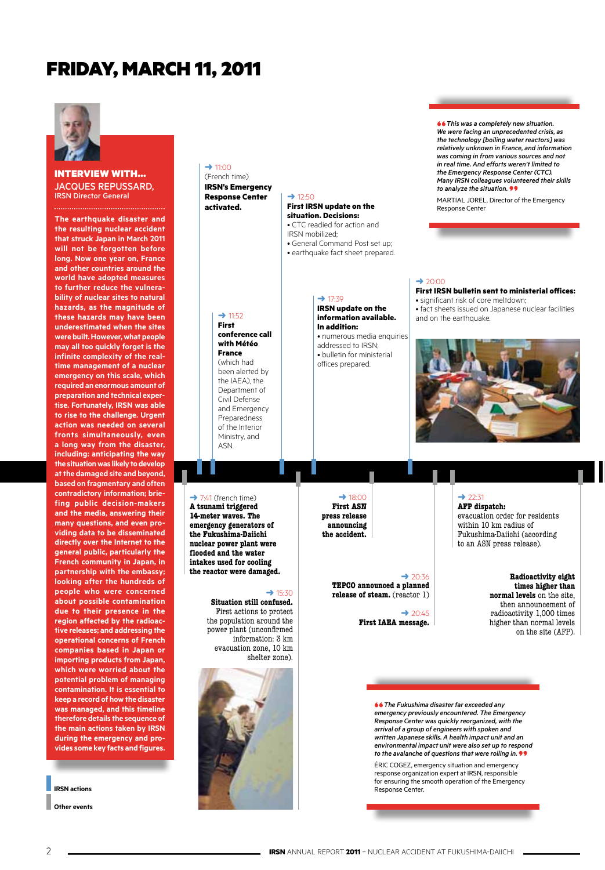## Friday, March 11, 2011



interview with… jacques repussard, IRSN Director General

**The earthquake disaster and the resulting nuclear accident that struck Japan in March 2011 will not be forgotten before long. Now one year on, France and other countries around the world have adopted measures to further reduce the vulnerability of nuclear sites to natural hazards, as the magnitude of these hazards may have been underestimated when the sites were built. However, what people may all too quickly forget is the infinite complexity of the realtime management of a nuclear emergency on this scale, which required an enormous amount of preparation and technical expertise. Fortunately, IRSN was able to rise to the challenge. Urgent action was needed on several fronts simultaneously, even a long way from the disaster, including: anticipating the way the situation was likely to develop at the damaged site and beyond, based on fragmentary and often contradictory information; briefing public decision-makers and the media, answering their many questions, and even providing data to be disseminated directly over the Internet to the general public, particularly the French community in Japan, in partnership with the embassy; looking after the hundreds of people who were concerned about possible contamination due to their presence in the region affected by the radioactive releases; and addressing the operational concerns of French companies based in Japan or importing products from Japan, which were worried about the potential problem of managing contamination. It is essential to keep a record of how the disaster was managed, and this timeline therefore details the sequence of the main actions taken by IRSN during the emergency and provides some key facts and figures.**

**IRSN actions**

**Other events**

#### $\rightarrow$  11:00 (French time) **IRSN's Emergency**

**Response Center activated.**

 $\rightarrow$  12:50

IRSN mobilized;

**First IRSN update on the situation. Decisions:**  • CTC readied for action and

• General Command Post set up; • earthquake fact sheet prepared.

#### $\rightarrow$  11:52 **First conference call**

**with Météo France** (which had been alerted by the IAEA), the Department of Civil Defense and Emergency Preparedness of the Interior Ministry, and ASN.

 $\rightarrow$  7:41 (french time) **A tsunami triggered 14-meter waves. The emergency generators of the Fukushima-Daiichi nuclear power plant were flooded and the water intakes used for cooling the reactor were damaged.**

#### $\rightarrow$  17:39 **IRSN update on the information available. In addition:** • numerous media enquiries

 $\rightarrow$  18:00 **First ASN press release announcing the accident.**

addressed to IRSN; • bulletin for ministerial offices prepared.

**"** *This was a completely new situation. We were facing an unprecedented crisis, as the technology [boiling water reactors] was relatively unknown in France, and information was coming in from various sources and not in real time. And efforts weren't limited to the Emergency Response Center (CTC). Many IRSN colleagues volunteered their skills to analyze the situation.* **"**

MARTIAL JOREL, Director of the Emergency Response Center

#### $\rightarrow$  20:00

#### **First IRSN bulletin sent to ministerial offices:**

• significant risk of core meltdown; • fact sheets issued on Japanese nuclear facilities and on the earthquake.



### $\rightarrow$  22:31

**AFP dispatch:** evacuation order for residents within 10 km radius of Fukushima-Daiichi (according to an ASN press release).

#### **Radioactivity eight times higher than normal levels** on the site, then announcement of radioactivity 1,000 times higher than normal levels on the site (AFP).

**Situation still confused.** First actions to protect the population around the power plant (unconfirmed information: 3 km evacuation zone, 10 km shelter zone).

 $\rightarrow$  15:30



**"** *The Fukushima disaster far exceeded any emergency previously encountered. The Emergency Response Center was quickly reorganized, with the arrival of a group of engineers with spoken and written Japanese skills. A health impact unit and an environmental impact unit were also set up to respond to the avalanche of questions that were rolling in.* **"**

 $\rightarrow$  20:36

 $\rightarrow$  20:45

**TEPCO announced a planned release of steam.** (reactor 1)

**First IAEA message.** 

Éric Cogez, emergency situation and emergency response organization expert at IRSN, responsible for ensuring the smooth operation of the Emergency Response Center.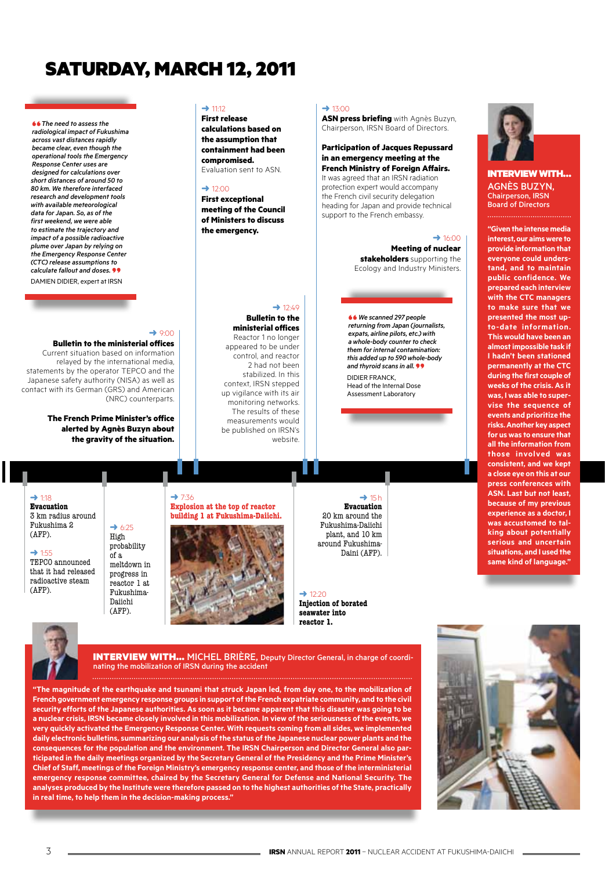# Saturday, March 12, 2011

 $\rightarrow$  9:00

(NRC) counterparts.

#### **"** *The need to assess the radiological impact of Fukushima across vast distances rapidly became clear, even though the operational tools the Emergency Response Center uses are designed for calculations over short distances of around 50 to 80 km. We therefore interfaced research and development tools with available meteorological data for Japan. So, as of the first weekend, we were able to estimate the trajectory and impact of a possible radioactive plume over Japan by relying on the Emergency Response Center (CTC) release assumptions to calculate fallout and doses.* **"** Damien Didier, expert at IRSN

 $\rightarrow$  11:12

**First release calculations based on the assumption that containment had been compromised.** Evaluation sent to ASN.

#### $\rightarrow$  12:00

**First exceptional meeting of the Council of Ministers to discuss the emergency.**

#### $\rightarrow$  12:40 **Bulletin to the**

#### **ministerial offices**

Reactor 1 no longer appeared to be under control, and reactor 2 had not been stabilized. In this context, IRSN stepped up vigilance with its air monitoring networks. The results of these measurements would be published on IRSN's website.

#### $\rightarrow$  13:00

**ASN press briefing** with Agnès Buzyn, Chairperson, IRSN Board of Directors.

#### **Participation of Jacques Repussard in an emergency meeting at the French Ministry of Foreign Affairs.**  It was agreed that an IRSN radiation

protection expert would accompany the French civil security delegation heading for Japan and provide technical support to the French embassy.

> $\rightarrow$  16:00 **Meeting of nuclear stakeholders** supporting the Ecology and Industry Ministers.

**"***We scanned 297 people returning from Japan (journalists, expats, airline pilots, etc.) with a whole-body counter to check them for internal contamination: this added up to 590 whole-body and thyroid scans in all.* **"** DIDIER FRANCK,

Head of the Internal Dose Assessment Laboratory

 $\rightarrow$  1:18

**Evacuation**  3 km radius around Fukushima 2 (AFP).

## ➜ 1:55

TEPCO announced that it had released radioactive steam (AFP).

**Bulletin to the ministerial offices** Current situation based on information relayed by the international media, statements by the operator TEPCO and the Japanese safety authority (NISA) as well as contact with its German (GRS) and American

> **The French Prime Minister's office alerted by Agnès Buzyn about the gravity of the situation.**

> > $\rightarrow$  6:25 High probability of a meltdown in progress in reactor 1 at Fukushima-Daiichi (AFP).

 $\rightarrow$  7:36 **Explosion at the top of reactor building 1 at Fukushima-Daiichi.**



**Evacuation** 20 km around the Fukushima-Daiichi plant, and 10 km around Fukushima-Daini (AFP).

 $\rightarrow$  15 h

 $\rightarrow$  12:20 **Injection of borated seawater into reactor 1.**



INTERVIEW WITH... MICHEL BRIÈRE, Deputy Director General, in charge of coordinating the mobilization of IRSN during the accident

**"The magnitude of the earthquake and tsunami that struck Japan led, from day one, to the mobilization of French government emergency response groups in support of the French expatriate community, and to the civil security efforts of the Japanese authorities. As soon as it became apparent that this disaster was going to be a nuclear crisis, IRSN became closely involved in this mobilization. In view of the seriousness of the events, we very quickly activated the Emergency Response Center. With requests coming from all sides, we implemented daily electronic bulletins, summarizing our analysis of the status of the Japanese nuclear power plants and the consequences for the population and the environment. The IRSN Chairperson and Director General also participated in the daily meetings organized by the Secretary General of the Presidency and the Prime Minister's Chief of Staff, meetings of the Foreign Ministry's emergency response center, and those of the interministerial emergency response committee, chaired by the Secretary General for Defense and National Security. The analyses produced by the Institute were therefore passed on to the highest authorities of the State, practically in real time, to help them in the decision-making process."**



interview with… Agnès buzyn, Chairperson, IRSN Board of Directors

**"Given the intense media** 

**interest, our aims were to provide information that everyone could understand, and to maintain public confidence. We prepared each interview with the CTC managers to make sure that we presented the most upto-date information. This would have been an almost impossible task if I hadn't been stationed permanently at the CTC during the first couple of weeks of the crisis. As it was, I was able to supervise the sequence of events and prioritize the risks. Another key aspect for us was to ensure that all the information from those involved was consistent, and we kept a close eye on this at our press conferences with ASN. Last but not least, because of my previous experience as a doctor, I was accustomed to talking about potentially serious and uncertain situations, and I used the same kind of language."**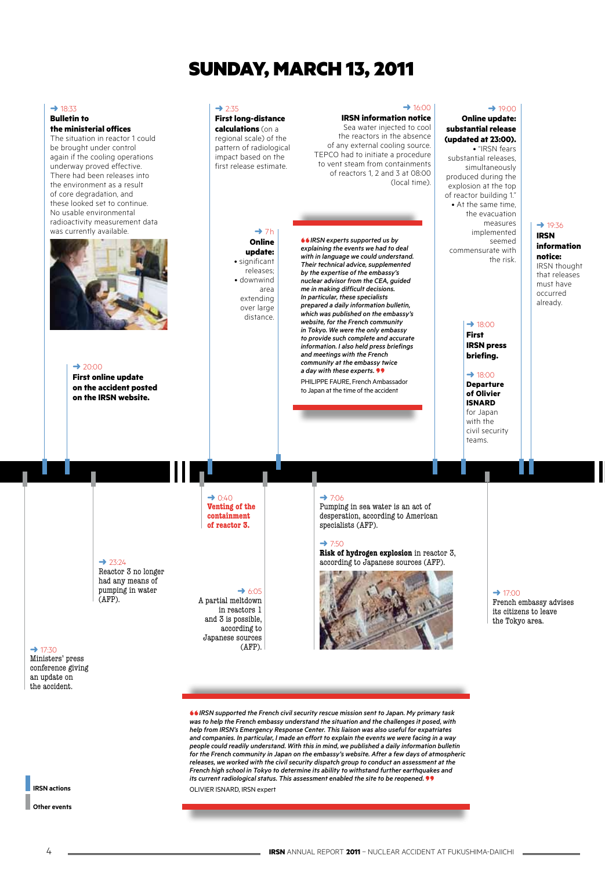# Sunday, March 13, 2011

 $→ 2.35$ 

**First long-distance calculations** (on a regional scale) of the pattern of radiological impact based on the first release estimate.

> $\rightarrow$  7h **Online update:** • significant releases; • downwind area extending over large distance.

#### $\rightarrow$  16:00 **IRSN information notice**

(local time).

of any external cooling source. TEPCO had to initiate a procedure to vent steam from containments of reactors 1, 2 and 3 at 08:00

**"** *IRSN experts supported us by explaining the events we had to deal with in language we could understand. Their technical advice, supplemented by the expertise of the embassy's nuclear advisor from the CEA, guided me in making difficult decisions. In particular, these specialists prepared a daily information bulletin, which was published on the embassy's website, for the French community in Tokyo. We were the only embassy to provide such complete and accurate information. I also held press briefings and meetings with the French community at the embassy twice a day with these experts.* **"** Philippe Faure, French Ambassador to Japan at the time of the accident

#### **Online update: substantial release**  Sea water injected to cool the reactors in the absence

**(updated at 23:00).**  • "IRSN fears substantial releases, simultaneously produced during the explosion at the top of reactor building 1." • At the same time, the evacuation measures implemented seemed commensurate with the risk.

 $\rightarrow$  19:00

#### $\rightarrow$  19:36 **IRSN information notice:** IRSN thought that releases must have occurred already.

#### $\rightarrow$  18:00 **First**

**IRSN press briefing.**

 $\rightarrow$  18:00

**Departure of Olivier ISNARD** for Japan with the civil security teams.

 $\rightarrow$  20:00

 $\rightarrow$  18:33 **Bulletin to** 

**the ministerial offices** The situation in reactor 1 could be brought under control again if the cooling operations underway proved effective. There had been releases into the environment as a result of core degradation, and these looked set to continue. No usable environmental radioactivity measurement data was currently available

> **First online update on the accident posted on the IRSN website.**

#### $\rightarrow$  23:24 Reactor 3 no longer

had any means of pumping in water (AFP).

 $\rightarrow$  0:40 **Venting of the containment of reactor 3.**

 $\rightarrow$  6:05

A partial meltdown in reactors 1 and 3 is possible, according to Japanese sources (AFP).

 $\div$  17:30 Ministers' press conference giving an update on the accident.

**IRSN actions**

**Other events**

#### $\rightarrow$  7:06

Pumping in sea water is an act of desperation, according to American specialists (AFP).

#### $\rightarrow 7.50$

**Risk of hydrogen explosion** in reactor 3, according to Japanese sources (AFP).



 $\rightarrow$  17:00

French embassy advises its citizens to leave the Tokyo area.

H

**"***IRSN supported the French civil security rescue mission sent to Japan. My primary task was to help the French embassy understand the situation and the challenges it posed, with help from IRSN's Emergency Response Center. This liaison was also useful for expatriates and companies. In particular, I made an effort to explain the events we were facing in a way people could readily understand. With this in mind, we published a daily information bulletin for the French community in Japan on the embassy's website. After a few days of atmospheric releases, we worked with the civil security dispatch group to conduct an assessment at the French high school in Tokyo to determine its ability to withstand further earthquakes and its current radiological status. This assessment enabled the site to be reopened.<sup>99</sup>*<br>OLIVIER ISNARD, IRSN expert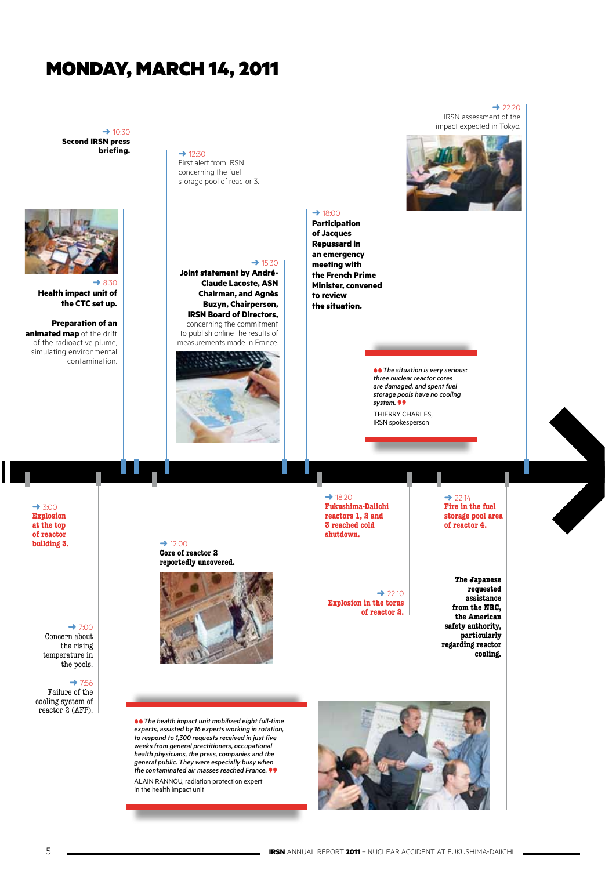## Monday, March 14, 2011

 $\rightarrow$  10:30 **Second IRSN press** 



**Health impact unit of the CTC set up.** 

**Preparation of an animated map** of the drift of the radioactive plume, simulating environmental contamination.  $\rightarrow$  12:30 First alert from IRSN

concerning the fuel storage pool of reactor 3.



**Joint statement by André-Claude Lacoste, ASN Chairman, and Agnès Buzyn, Chairperson, IRSN Board of Directors,**  concerning the commitment to publish online the results of



 $\rightarrow$  22:20 IRSN assessment of the impact expected in Tokyo.



 $\rightarrow$  18:00 **Participation** 

**of Jacques Repussard in an emergency meeting with the French Prime Minister, convened to review the situation.**

> **"** *The situation is very serious: three nuclear reactor cores are damaged, and spent fuel storage pools have no cooling system.* **"** Thierry Charles, IRSN spokesperson

 $\rightarrow$  3:00 **Explosion at the top of reactor building 3.**

 $\rightarrow$  12:00 **Core of reactor 2 reportedly uncovered.**



 $\rightarrow$  22:10 **Explosion in the torus of reactor 2.**

 $\rightarrow$  18:20 **Fukushima-Daiichi reactors 1, 2 and 3 reached cold shutdown.**

 $\rightarrow$  22:14 **Fire in the fuel storage pool area of reactor 4.**

**The Japanese requested assistance from the NRC, the American safety authority, particularly regarding reactor cooling.**

**"** *The health impact unit mobilized eight full-time experts, assisted by 16 experts working in rotation, to respond to 1,300 requests received in just five weeks from general practitioners, occupational health physicians, the press, companies and the general public. They were especially busy when the contaminated air masses reached France.* **"** Alain Rannou, radiation protection expert in the health impact unit



H

 $\rightarrow$  7:00 Concern about the rising temperature in the pools.

 $\rightarrow$  7:56 Failure of the cooling system of reactor 2 (AFP).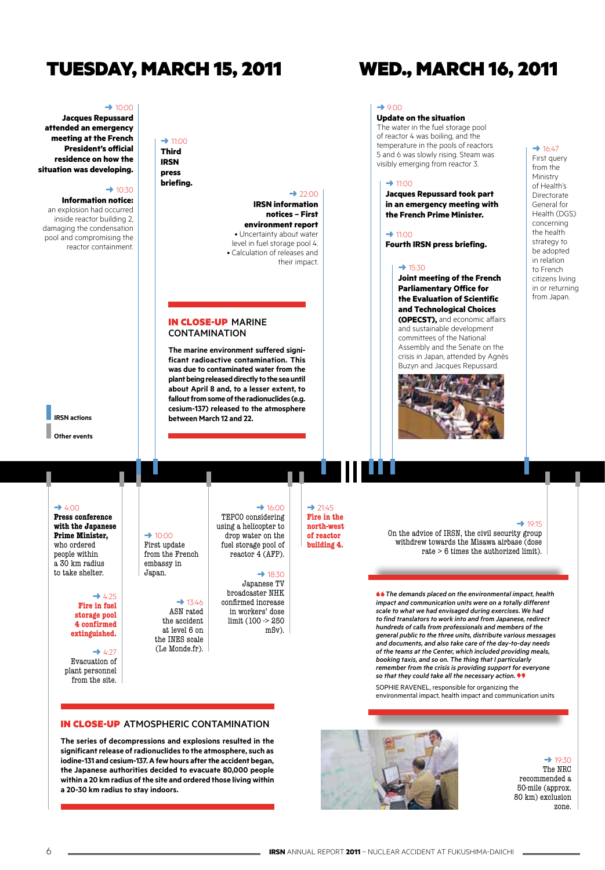## Tuesday, March 15, 2011 Wed., March 16, 2011

 $\rightarrow$  11:00 **Third IRSN press briefing.**

#### $\rightarrow$  10:00

**Jacques Repussard attended an emergency meeting at the French President's official residence on how the situation was developing.**

#### $\rightarrow$  10:30

**Information notice:** 

an explosion had occurred inside reactor building 2, damaging the condensation pool and compromising the reactor containment.

 $\rightarrow$  22:00 **IRSN information notices – First environment report** • Uncertainty about water

level in fuel storage pool 4. • Calculation of releases and their impact.

#### In close-up Marine **CONTAMINATION**

**The marine environment suffered significant radioactive contamination. This was due to contaminated water from the plant being released directly to the sea until about April 8 and, to a lesser extent, to fallout from some of the radionuclides (e.g. cesium-137) released to the atmosphere between March 12 and 22.**

#### $\rightarrow$  9:00

#### **Update on the situation**

The water in the fuel storage pool of reactor 4 was boiling, and the temperature in the pools of reactors 5 and 6 was slowly rising. Steam was visibly emerging from reactor 3.

#### $\rightarrow$  11:00

**Jacques Repussard took part in an emergency meeting with the French Prime Minister.**

 $\rightarrow$  11:00 **Fourth IRSN press briefing.**

#### $\rightarrow$  15:30

**Joint meeting of the French Parliamentary Office for the Evaluation of Scientific and Technological Choices (OPECST),** and economic affairs and sustainable development

committees of the National Assembly and the Senate on the crisis in Japan, attended by Agnès Buzyn and Jacques Repussard.



#### $\rightarrow 16:47$ First query

from the Ministry of Health's **Directorate** General for Health (DGS) concerning the health strategy to be adopted in relation to French citizens living in or returning from Japan.

## **IRSN actions**

**Other events**

#### $\rightarrow$  4:00

**Press conference with the Japanese Prime Minister,**  who ordered people within a 30 km radius to take shelter.

#### $\rightarrow$  4:25 **Fire in fuel storage pool 4 confirmed extinguished.**

 $\rightarrow$  4:27 Evacuation of plant personnel from the site.

#### $\rightarrow$  10:00 First update from the French embassy in<br>Janan

 $\rightarrow$  13:46 ASN rated the accident at level 6 on the INES scale (Le Monde.fr).

TEPCO considering using a helicopter to drop water on the fuel storage pool of reactor 4 (AFP).

#### $\rightarrow$  18:30

 $\rightarrow$  16:00

m

Japanese TV broadcaster NHK confirmed increase in workers' dose limit (100 -> 250 mSv).

➜ 21:45 **Fire in the north-west of reactor building 4.**

#### ➜ 19:15

On the advice of IRSN, the civil security group withdrew towards the Misawa airbase (dose rate > 6 times the authorized limit).

**"***The demands placed on the environmental impact, health impact and communication units were on a totally different scale to what we had envisaged during exercises. We had to find translators to work into and from Japanese, redirect hundreds of calls from professionals and members of the general public to the three units, distribute various messages and documents, and also take care of the day-to-day needs of the teams at the Center, which included providing meals, booking taxis, and so on. The thing that I particularly remember from the crisis is providing support for everyone* 

SOPHIE RAVENEL, responsible for organizing the environmental impact, health impact and communication units



 $\rightarrow$  19:30 The NRC recommended a 50-mile (approx. 80 km) exclusion zone.

**The series of decompressions and explosions resulted in the significant release of radionuclides to the atmosphere, such as iodine-131 and cesium-137. A few hours after the accident began, the Japanese authorities decided to evacuate 80,000 people within a 20 km radius of the site and ordered those living within a 20-30 km radius to stay indoors.**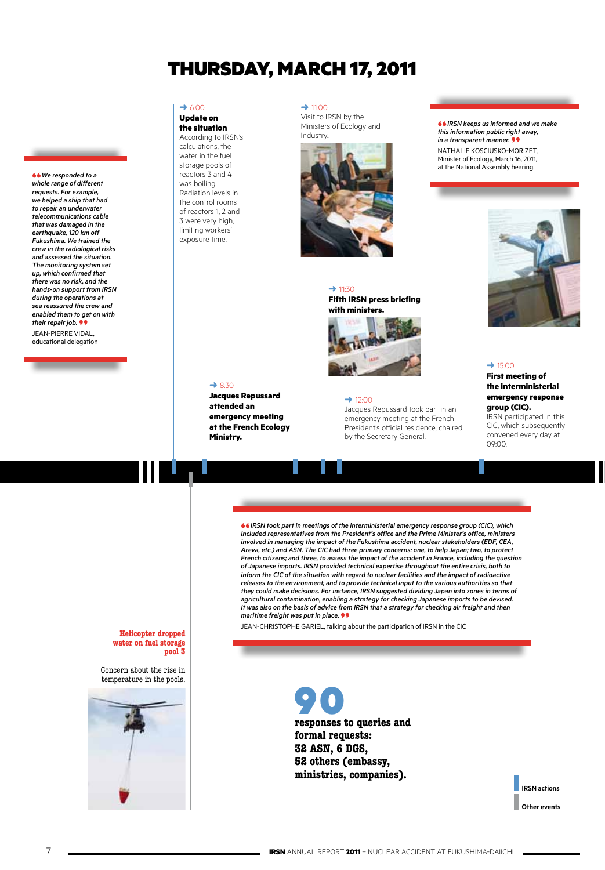## THURSDAY, MARCH 17, 2011

#### $\rightarrow$  6:00

**"***We responded to a whole range of different requests. For example, we helped a ship that had to repair an underwater telecommunications cable that was damaged in the earthquake, 120 km off Fukushima. We trained the crew in the radiological risks and assessed the situation. The monitoring system set up, which confirmed that there was no risk, and the hands-on support from IRSN during the operations at sea reassured the crew and enabled them to get on with their repair job.***"** Jean-Pierre Vidal, educational delegation

**Update on the situation** According to IRSN's calculations, the water in the fuel storage pools of reactors 3 and 4 was boiling. Radiation levels in the control rooms of reactors 1, 2 and 3 were very high, limiting workers' exposure time.

 $\rightarrow$  11:00 Visit to IRSN by the Ministers of Ecology and Industry..



## $\rightarrow$  11:30 **Fifth IRSN press briefing with ministers.**



#### $\rightarrow$  12:00

Jacques Repussard took part in an emergency meeting at the French President's official residence, chaired by the Secretary General.

**"** *IRSN keeps us informed and we make this information public right away, in a transparent manner.* **"** Nathalie Kosciusko-Morizet, Minister of Ecology, March 16, 2011, at the National Assembly hearing.



#### $\rightarrow$  15:00

**First meeting of the interministerial emergency response group (CIC).**  IRSN participated in this CIC, which subsequently convened every day at 09:00.

#### ➜ 8:30

**Jacques Repussard attended an emergency meeting at the French Ecology Ministry.**

**Helicopter dropped water on fuel storage pool 3**

Concern about the rise in temperature in the pools.



**"***IRSN took part in meetings of the interministerial emergency response group (CIC), which included representatives from the President's office and the Prime Minister's office, ministers involved in managing the impact of the Fukushima accident, nuclear stakeholders (EDF, CEA, Areva, etc.) and ASN. The CIC had three primary concerns: one, to help Japan; two, to protect French citizens; and three, to assess the impact of the accident in France, including the question of Japanese imports. IRSN provided technical expertise throughout the entire crisis, both to inform the CIC of the situation with regard to nuclear facilities and the impact of radioactive releases to the environment, and to provide technical input to the various authorities so that they could make decisions. For instance, IRSN suggested dividing Japan into zones in terms of agricultural contamination, enabling a strategy for checking Japanese imports to be devised. It was also on the basis of advice from IRSN that a strategy for checking air freight and then*  **maritime freight was put in place.**<br>
JEAN-CHRISTOPHE GARIEL, talking about the participation of IRSN in the CIC

**responses to queries and**  90 **formal requests: 32 ASN, 6 DGS, 52 others (embassy, ministries, companies).**

> **IRSN actions Other events**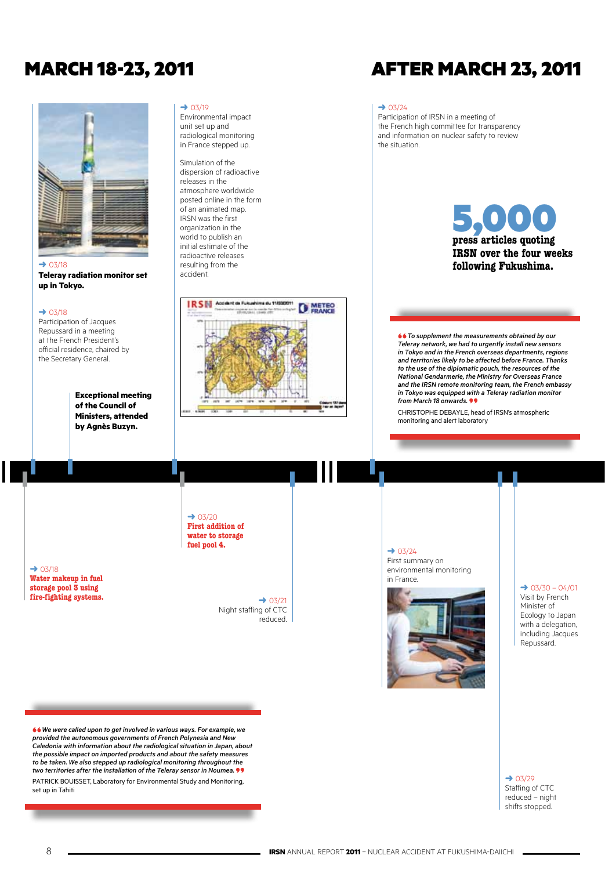## March 18-23, 2011 after March 23, 2011



**Teleray radiation monitor set up in Tokyo.**

 $\rightarrow$  03/18

 $\rightarrow 03/18$ 

**Water makeup in fuel storage pool 3 using fire-fighting systems.**

Participation of Jacques Repussard in a meeting at the French President's official residence, chaired by the Secretary General.

> **Exceptional meeting of the Council of Ministers, attended by Agnès Buzyn.**

 $→ 03/19$ 

Environmental impact unit set up and radiological monitoring in France stepped up.

Simulation of the dispersion of radioactive releases in the atmosphere worldwide posted online in the form of an animated map. IRSN was the first organization in the world to publish an initial estimate of the radioactive releases resulting from the accident.



#### $\rightarrow$  03/24

Participation of IRSN in a meeting of the French high committee for transparency and information on nuclear safety to review the situation.

# **press articles quoting**  5,000 **IRSN over the four weeks following Fukushima.**

**"** *To supplement the measurements obtained by our Teleray network, we had to urgently install new sensors in Tokyo and in the French overseas departments, regions and territories likely to be affected before France. Thanks to the use of the diplomatic pouch, the resources of the National Gendarmerie, the Ministry for Overseas France and the IRSN remote monitoring team, the French embassy in Tokyo was equipped with a Teleray radiation monitor* 

*from March 18 onwards.* **"** Christophe Debayle, head of IRSN's atmospheric monitoring and alert laboratory

 $\rightarrow 03/20$ **First addition of water to storage fuel pool 4.**

> $\rightarrow$  03/21 Night staffing of CTC reduced.

 $\rightarrow 03/24$ 

First summary on environmental monitoring in France.



#### $\rightarrow$  03/30 – 04/01 Visit by French Minister of Ecology to Japan with a delegation, including Jacques Repussard.

 $\rightarrow$  03/29 Staffing of CTC reduced – night shifts stopped.

**"** *We were called upon to get involved in various ways. For example, we provided the autonomous governments of French Polynesia and New Caledonia with information about the radiological situation in Japan, about the possible impact on imported products and about the safety measures to be taken. We also stepped up radiological monitoring throughout the*  PATRICK BOUISSET, Laboratory for Environmental Study and Monitoring, set up in Tahiti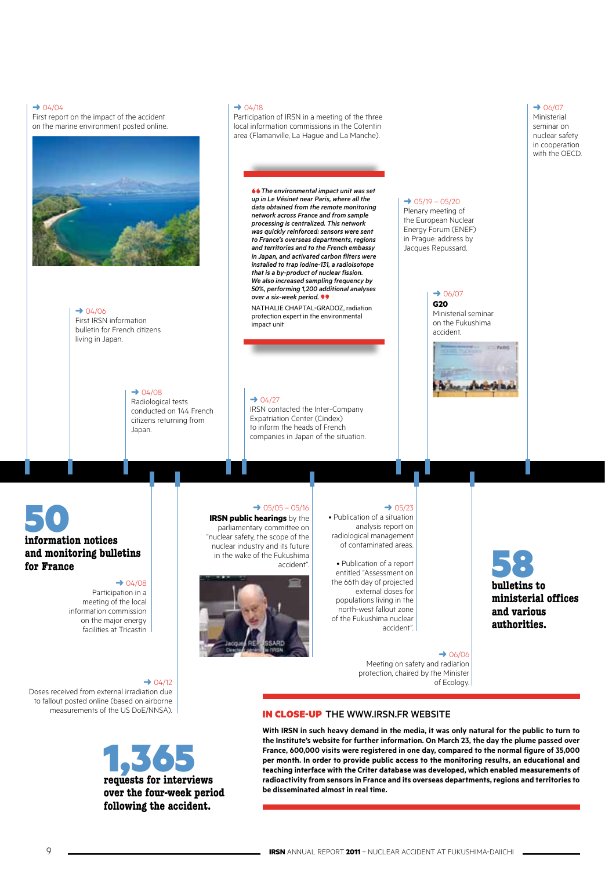#### $→ 04/04$

First report on the impact of the accident on the marine environment posted online.



 $\rightarrow$  04/06 First IRSN information bulletin for French citizens living in Japan.

> $\rightarrow$  04/08 Radiological tests conducted on 144 French citizens returning from Japan.

## $\rightarrow$  04/27

.<br>impact unit

 $→ 04/18$ 

 $\rightarrow$  05/05 – 05/16

accident".

**IRSN public hearings** by the parliamentary committee on "nuclear safety, the scope of the nuclear industry and its future in the wake of the Fukushima

IRSN contacted the Inter-Company Expatriation Center (Cindex) to inform the heads of French companies in Japan of the situation.

Participation of IRSN in a meeting of the three local information commissions in the Cotentin area (Flamanville, La Hague and La Manche).

> **"** *The environmental impact unit was set up in Le Vésinet near Paris, where all the data obtained from the remote monitoring network across France and from sample processing is centralized. This network was quickly reinforced: sensors were sent to France's overseas departments, regions and territories and to the French embassy in Japan, and activated carbon filters were installed to trap iodine-131, a radioisotope that is a by-product of nuclear fission. We also increased sampling frequency by 50%, performing 1,200 additional analyses over a six-week period.* **"** Nathalie Chaptal-Gradoz, radiation protection expert in the environmental

# **information notices**  50

## **and monitoring bulletins for France**

#### $→ 04/08$

Participation in a meeting of the local information commission on the major energy facilities at Tricastin

#### $\rightarrow$  04/12

Doses received from external irradiation due to fallout posted online (based on airborne measurements of the US DoE/NNSA).



#### $\rightarrow$  05/19 – 05/20 Plenary meeting of the European Nuclear

Energy Forum (ENEF) in Prague: address by Jacques Repussard.

> $\rightarrow$  06/07 **G20**  Ministerial seminar on the Fukushima

accident.



**bulletins to**  58

**ministerial offices and various authorities.**

 $\rightarrow$  06/07 Ministerial seminar on nuclear safety in cooperation with the OECD.

 $\rightarrow 05/23$ 

• Publication of a situation analysis report on radiological management of contaminated areas.

• Publication of a report entitled "Assessment on the 66th day of projected external doses for populations living in the north-west fallout zone of the Fukushima nuclear accident".

#### $\rightarrow$  06/06

Meeting on safety and radiation protection, chaired by the Minister of Ecology.

#### In close-up the www.irsn.fr website

**With IRSN in such heavy demand in the media, it was only natural for the public to turn to the Institute's website for further information. On March 23, the day the plume passed over France, 600,000 visits were registered in one day, compared to the normal figure of 35,000 per month. In order to provide public access to the monitoring results, an educational and teaching interface with the Criter database was developed, which enabled measurements of radioactivity from sensors in France and its overseas departments, regions and territories to be disseminated almost in real time.**

9 **ILLETTE ANNUAL REPORT 2011** – NUCLEAR ACCIDENT AT FUKUSHIMA-DAIICHI